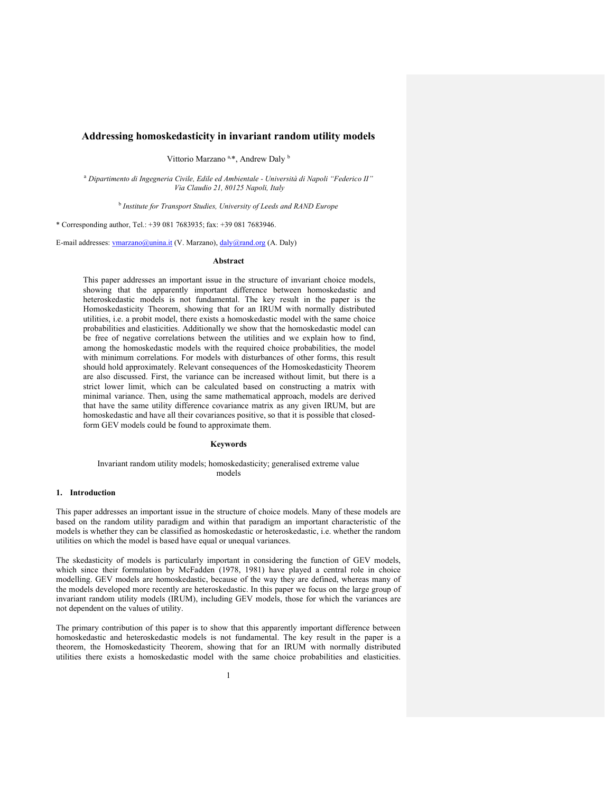## Addressing homoskedasticity in invariant random utility models

Vittorio Marzano <sup>a,\*</sup>, Andrew Daly <sup>b</sup>

<sup>a</sup> Dipartimento di Ingegneria Civile, Edile ed Ambientale - Università di Napoli "Federico II" Via Claudio 21, 80125 Napoli, Italy

<sup>b</sup> Institute for Transport Studies, University of Leeds and RAND Europe

\* Corresponding author, Tel.: +39 081 7683935; fax: +39 081 7683946.

E-mail addresses: vmarzano@unina.it (V. Marzano), daly@rand.org (A. Daly)

## Abstract

This paper addresses an important issue in the structure of invariant choice models, showing that the apparently important difference between homoskedastic and heteroskedastic models is not fundamental. The key result in the paper is the Homoskedasticity Theorem, showing that for an IRUM with normally distributed utilities, i.e. a probit model, there exists a homoskedastic model with the same choice probabilities and elasticities. Additionally we show that the homoskedastic model can be free of negative correlations between the utilities and we explain how to find, among the homoskedastic models with the required choice probabilities, the model with minimum correlations. For models with disturbances of other forms, this result should hold approximately. Relevant consequences of the Homoskedasticity Theorem are also discussed. First, the variance can be increased without limit, but there is a strict lower limit, which can be calculated based on constructing a matrix with minimal variance. Then, using the same mathematical approach, models are derived that have the same utility difference covariance matrix as any given IRUM, but are homoskedastic and have all their covariances positive, so that it is possible that closedform GEV models could be found to approximate them.

# Keywords

#### Invariant random utility models; homoskedasticity; generalised extreme value models

#### 1. Introduction

This paper addresses an important issue in the structure of choice models. Many of these models are based on the random utility paradigm and within that paradigm an important characteristic of the models is whether they can be classified as homoskedastic or heteroskedastic, i.e. whether the random utilities on which the model is based have equal or unequal variances.

The skedasticity of models is particularly important in considering the function of GEV models, which since their formulation by McFadden (1978, 1981) have played a central role in choice modelling. GEV models are homoskedastic, because of the way they are defined, whereas many of the models developed more recently are heteroskedastic. In this paper we focus on the large group of invariant random utility models (IRUM), including GEV models, those for which the variances are not dependent on the values of utility.

The primary contribution of this paper is to show that this apparently important difference between homoskedastic and heteroskedastic models is not fundamental. The key result in the paper is a theorem, the Homoskedasticity Theorem, showing that for an IRUM with normally distributed utilities there exists a homoskedastic model with the same choice probabilities and elasticities.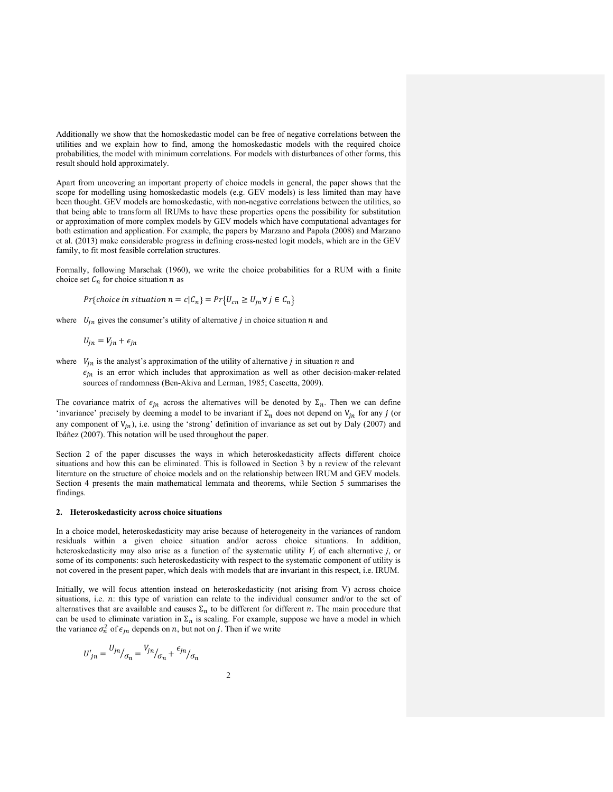Additionally we show that the homoskedastic model can be free of negative correlations between the utilities and we explain how to find, among the homoskedastic models with the required choice probabilities, the model with minimum correlations. For models with disturbances of other forms, this result should hold approximately.

Apart from uncovering an important property of choice models in general, the paper shows that the scope for modelling using homoskedastic models (e.g. GEV models) is less limited than may have been thought. GEV models are homoskedastic, with non-negative correlations between the utilities, so that being able to transform all IRUMs to have these properties opens the possibility for substitution or approximation of more complex models by GEV models which have computational advantages for both estimation and application. For example, the papers by Marzano and Papola (2008) and Marzano et al. (2013) make considerable progress in defining cross-nested logit models, which are in the GEV family, to fit most feasible correlation structures.

Formally, following Marschak (1960), we write the choice probabilities for a RUM with a finite choice set  $C_n$  for choice situation *n* as

$$
Pr{choice in situation n = c|C_n} = Pr{U_{cn} \ge U_{jn} \forall j \in C_n}
$$

where  $U_{in}$  gives the consumer's utility of alternative *j* in choice situation *n* and

$$
U_{jn} = V_{jn} + \epsilon_{jn}
$$

where  $V_{jn}$  is the analyst's approximation of the utility of alternative *j* in situation  $n$  and  $\epsilon_{in}$  is an error which includes that approximation as well as other decision-maker-related sources of randomness (Ben-Akiva and Lerman, 1985; Cascetta, 2009).

The covariance matrix of  $\epsilon_{in}$  across the alternatives will be denoted by  $\Sigma_n$ . Then we can define 'invariance' precisely by deeming a model to be invariant if  $\Sigma_n$  does not depend on  $V_{in}$  for any j (or any component of  $V_{in}$ ), i.e. using the 'strong' definition of invariance as set out by Daly (2007) and Ibáñez (2007). This notation will be used throughout the paper.

Section 2 of the paper discusses the ways in which heteroskedasticity affects different choice situations and how this can be eliminated. This is followed in Section 3 by a review of the relevant literature on the structure of choice models and on the relationship between IRUM and GEV models. Section 4 presents the main mathematical lemmata and theorems, while Section 5 summarises the findings.

### 2. Heteroskedasticity across choice situations

In a choice model, heteroskedasticity may arise because of heterogeneity in the variances of random residuals within a given choice situation and/or across choice situations. In addition, heteroskedasticity may also arise as a function of the systematic utility  $V_i$  of each alternative j, or some of its components: such heteroskedasticity with respect to the systematic component of utility is not covered in the present paper, which deals with models that are invariant in this respect, i.e. IRUM.

Initially, we will focus attention instead on heteroskedasticity (not arising from V) across choice situations, i.e.  $n$ : this type of variation can relate to the individual consumer and/or to the set of alternatives that are available and causes  $\Sigma_n$  to be different for different n. The main procedure that can be used to eliminate variation in  $\Sigma_n$  is scaling. For example, suppose we have a model in which the variance  $\sigma_n^2$  of  $\epsilon_{jn}$  depends on *n*, but not on *j*. Then if we write

$$
U'_{jn} = \frac{U_{jn}}{\sigma_n} = \frac{V_{jn}}{\sigma_n} + \frac{\epsilon_{jn}}{\sigma_n}
$$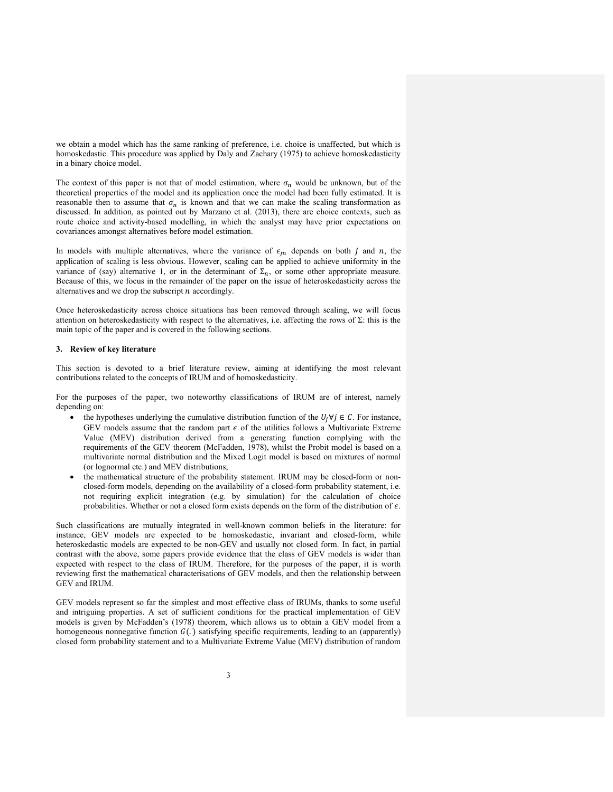we obtain a model which has the same ranking of preference, i.e. choice is unaffected, but which is homoskedastic. This procedure was applied by Daly and Zachary (1975) to achieve homoskedasticity in a binary choice model.

The context of this paper is not that of model estimation, where  $\sigma_n$  would be unknown, but of the theoretical properties of the model and its application once the model had been fully estimated. It is reasonable then to assume that  $\sigma_n$  is known and that we can make the scaling transformation as discussed. In addition, as pointed out by Marzano et al. (2013), there are choice contexts, such as route choice and activity-based modelling, in which the analyst may have prior expectations on covariances amongst alternatives before model estimation.

In models with multiple alternatives, where the variance of  $\epsilon_{jn}$  depends on both *j* and *n*, the application of scaling is less obvious. However, scaling can be applied to achieve uniformity in the variance of (say) alternative 1, or in the determinant of  $\Sigma_n$ , or some other appropriate measure. Because of this, we focus in the remainder of the paper on the issue of heteroskedasticity across the alternatives and we drop the subscript  $n$  accordingly.

Once heteroskedasticity across choice situations has been removed through scaling, we will focus attention on heteroskedasticity with respect to the alternatives, i.e. affecting the rows of  $\Sigma$ : this is the main topic of the paper and is covered in the following sections.

#### 3. Review of key literature

This section is devoted to a brief literature review, aiming at identifying the most relevant contributions related to the concepts of IRUM and of homoskedasticity.

For the purposes of the paper, two noteworthy classifications of IRUM are of interest, namely depending on:

- the hypotheses underlying the cumulative distribution function of the  $U_i \forall j \in \mathcal{C}$ . For instance, GEV models assume that the random part  $\epsilon$  of the utilities follows a Multivariate Extreme Value (MEV) distribution derived from a generating function complying with the requirements of the GEV theorem (McFadden, 1978), whilst the Probit model is based on a multivariate normal distribution and the Mixed Logit model is based on mixtures of normal (or lognormal etc.) and MEV distributions;
- the mathematical structure of the probability statement. IRUM may be closed-form or nonclosed-form models, depending on the availability of a closed-form probability statement, i.e. not requiring explicit integration (e.g. by simulation) for the calculation of choice probabilities. Whether or not a closed form exists depends on the form of the distribution of  $\epsilon$ .

Such classifications are mutually integrated in well-known common beliefs in the literature: for instance, GEV models are expected to be homoskedastic, invariant and closed-form, while heteroskedastic models are expected to be non-GEV and usually not closed form. In fact, in partial contrast with the above, some papers provide evidence that the class of GEV models is wider than expected with respect to the class of IRUM. Therefore, for the purposes of the paper, it is worth reviewing first the mathematical characterisations of GEV models, and then the relationship between GEV and IRUM.

GEV models represent so far the simplest and most effective class of IRUMs, thanks to some useful and intriguing properties. A set of sufficient conditions for the practical implementation of GEV models is given by McFadden's (1978) theorem, which allows us to obtain a GEV model from a homogeneous nonnegative function  $G(.)$  satisfying specific requirements, leading to an (apparently) closed form probability statement and to a Multivariate Extreme Value (MEV) distribution of random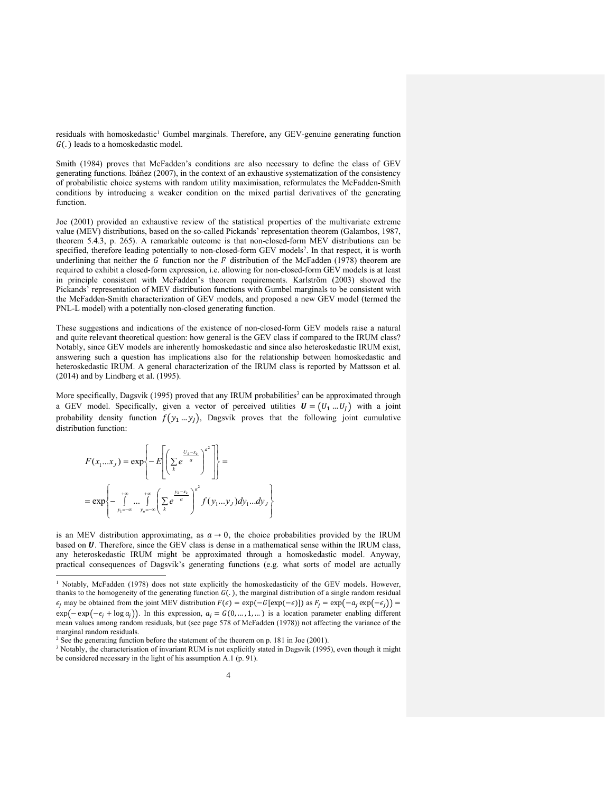residuals with homoskedastic<sup>1</sup> Gumbel marginals. Therefore, any GEV-genuine generating function  $G(.)$  leads to a homoskedastic model.

Smith (1984) proves that McFadden's conditions are also necessary to define the class of GEV generating functions. Ibáñez (2007), in the context of an exhaustive systematization of the consistency of probabilistic choice systems with random utility maximisation, reformulates the McFadden-Smith conditions by introducing a weaker condition on the mixed partial derivatives of the generating function.

Joe (2001) provided an exhaustive review of the statistical properties of the multivariate extreme value (MEV) distributions, based on the so-called Pickands' representation theorem (Galambos, 1987, theorem 5.4.3, p. 265). A remarkable outcome is that non-closed-form MEV distributions can be specified, therefore leading potentially to non-closed-form GEV models<sup>2</sup>. In that respect, it is worth underlining that neither the G function nor the F distribution of the McFadden (1978) theorem are required to exhibit a closed-form expression, i.e. allowing for non-closed-form GEV models is at least in principle consistent with McFadden's theorem requirements. Karlström (2003) showed the Pickands' representation of MEV distribution functions with Gumbel marginals to be consistent with the McFadden-Smith characterization of GEV models, and proposed a new GEV model (termed the PNL-L model) with a potentially non-closed generating function.

These suggestions and indications of the existence of non-closed-form GEV models raise a natural and quite relevant theoretical question: how general is the GEV class if compared to the IRUM class? Notably, since GEV models are inherently homoskedastic and since also heteroskedastic IRUM exist, answering such a question has implications also for the relationship between homoskedastic and heteroskedastic IRUM. A general characterization of the IRUM class is reported by Mattsson et al. (2014) and by Lindberg et al. (1995).

More specifically, Dagsvik (1995) proved that any IRUM probabilities<sup>3</sup> can be approximated through a GEV model. Specifically, given a vector of perceived utilities  $U = (U_1 ... U_l)$  with a joint probability density function  $f(y_1...y_j)$ , Dagsvik proves that the following joint cumulative distribution function:

$$
F(x_1...x_J) = \exp\left\{-E\left[\left(\sum_{k} e^{\frac{U_k - x_k}{a}}\right)^{a^2}\right]\right\} =
$$
  
= 
$$
\exp\left\{-\int_{y_1=-\infty}^{+\infty} \dots \int_{y_n=-\infty}^{+\infty} \left(\sum_{k} e^{\frac{y_k - x_k}{a}}\right)^{a^2} f(y_1...y_J) dy_1...dy_J\right\}
$$

is an MEV distribution approximating, as  $a \rightarrow 0$ , the choice probabilities provided by the IRUM based on  $U$ . Therefore, since the GEV class is dense in a mathematical sense within the IRUM class, any heteroskedastic IRUM might be approximated through a homoskedastic model. Anyway, practical consequences of Dagsvik's generating functions (e.g. what sorts of model are actually

<sup>&</sup>lt;sup>1</sup> Notably, McFadden (1978) does not state explicitly the homoskedasticity of the GEV models. However, thanks to the homogeneity of the generating function  $G(.)$ , the marginal distribution of a single random residual  $\epsilon_j$  may be obtained from the joint MEV distribution  $F(\epsilon) = \exp(-G[\exp(-\epsilon)])$  as  $F_j = \exp(-a_j \exp(-\epsilon_j)) =$  $exp(- exp(-\epsilon_j + log a_j))$ . In this expression,  $a_j = G(0, ..., 1, ...)$  is a location parameter enabling different mean values among random residuals, but (see page 578 of McFadden (1978)) not affecting the variance of the marginal random residuals.

<sup>&</sup>lt;sup>2</sup> See the generating function before the statement of the theorem on p. 181 in Joe (2001).

<sup>&</sup>lt;sup>3</sup> Notably, the characterisation of invariant RUM is not explicitly stated in Dagsvik (1995), even though it might be considered necessary in the light of his assumption A.1 (p. 91).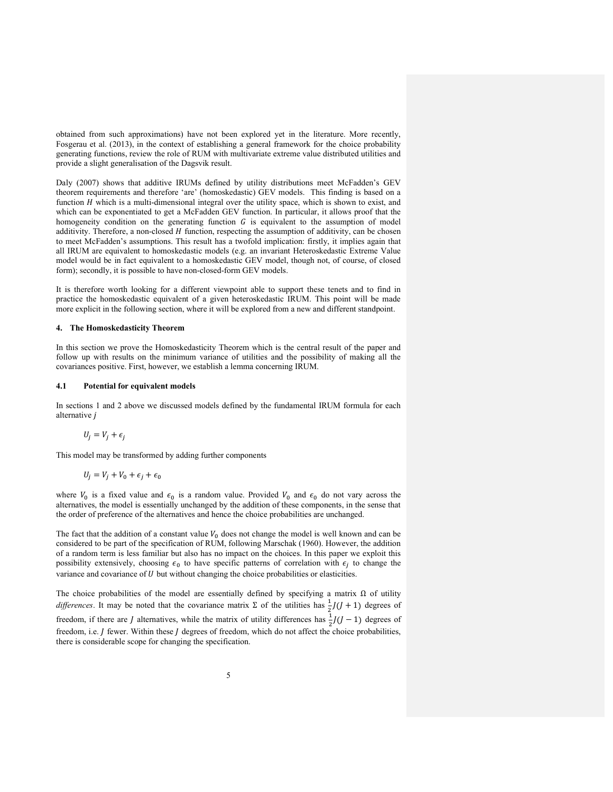obtained from such approximations) have not been explored yet in the literature. More recently, Fosgerau et al. (2013), in the context of establishing a general framework for the choice probability generating functions, review the role of RUM with multivariate extreme value distributed utilities and provide a slight generalisation of the Dagsvik result.

Daly (2007) shows that additive IRUMs defined by utility distributions meet McFadden's GEV theorem requirements and therefore 'are' (homoskedastic) GEV models. This finding is based on a function  $H$  which is a multi-dimensional integral over the utility space, which is shown to exist, and which can be exponentiated to get a McFadden GEV function. In particular, it allows proof that the homogeneity condition on the generating function  $G$  is equivalent to the assumption of model additivity. Therefore, a non-closed  $H$  function, respecting the assumption of additivity, can be chosen to meet McFadden's assumptions. This result has a twofold implication: firstly, it implies again that all IRUM are equivalent to homoskedastic models (e.g. an invariant Heteroskedastic Extreme Value model would be in fact equivalent to a homoskedastic GEV model, though not, of course, of closed form); secondly, it is possible to have non-closed-form GEV models.

It is therefore worth looking for a different viewpoint able to support these tenets and to find in practice the homoskedastic equivalent of a given heteroskedastic IRUM. This point will be made more explicit in the following section, where it will be explored from a new and different standpoint.

### 4. The Homoskedasticity Theorem

In this section we prove the Homoskedasticity Theorem which is the central result of the paper and follow up with results on the minimum variance of utilities and the possibility of making all the covariances positive. First, however, we establish a lemma concerning IRUM.

### 4.1 Potential for equivalent models

In sections 1 and 2 above we discussed models defined by the fundamental IRUM formula for each alternative *i* 

$$
U_j = V_j + \epsilon_j
$$

This model may be transformed by adding further components

$$
U_j = V_j + V_0 + \epsilon_j + \epsilon_0
$$

where  $V_0$  is a fixed value and  $\epsilon_0$  is a random value. Provided  $V_0$  and  $\epsilon_0$  do not vary across the alternatives, the model is essentially unchanged by the addition of these components, in the sense that the order of preference of the alternatives and hence the choice probabilities are unchanged.

The fact that the addition of a constant value  $V_0$  does not change the model is well known and can be considered to be part of the specification of RUM, following Marschak (1960). However, the addition of a random term is less familiar but also has no impact on the choices. In this paper we exploit this possibility extensively, choosing  $\epsilon_0$  to have specific patterns of correlation with  $\epsilon_j$  to change the variance and covariance of  $U$  but without changing the choice probabilities or elasticities.

The choice probabilities of the model are essentially defined by specifying a matrix  $\Omega$  of utility differences. It may be noted that the covariance matrix  $\Sigma$  of the utilities has  $\frac{1}{2}J(J+1)$  degrees of freedom, if there are *J* alternatives, while the matrix of utility differences has  $\frac{1}{2}J(J-1)$  degrees of freedom, i.e. *J* fewer. Within these *J* degrees of freedom, which do not affect the choice probabilities, there is considerable scope for changing the specification.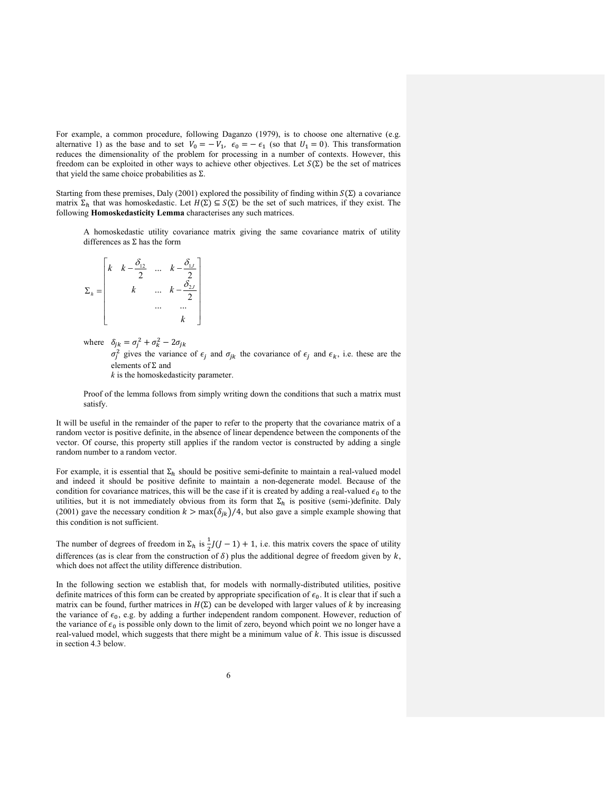For example, a common procedure, following Daganzo (1979), is to choose one alternative (e.g. alternative 1) as the base and to set  $V_0 = -V_1$ ,  $\epsilon_0 = -\epsilon_1$  (so that  $U_1 = 0$ ). This transformation reduces the dimensionality of the problem for processing in a number of contexts. However, this freedom can be exploited in other ways to achieve other objectives. Let  $S(\Sigma)$  be the set of matrices that yield the same choice probabilities as  $\Sigma$ .

Starting from these premises, Daly (2001) explored the possibility of finding within  $S(\Sigma)$  a covariance matrix  $\Sigma_h$  that was homoskedastic. Let  $H(\Sigma) \subseteq S(\Sigma)$  be the set of such matrices, if they exist. The following Homoskedasticity Lemma characterises any such matrices.

A homoskedastic utility covariance matrix giving the same covariance matrix of utility differences as Σ has the form

$$
\Sigma_h = \begin{bmatrix} k & k - \frac{\delta_{12}}{2} & \dots & k - \frac{\delta_{1J}}{2} \\ k & \dots & k - \frac{\delta_{2J}}{2} \\ \dots & \dots & \dots \\ k & k \end{bmatrix}
$$

where  $\delta_{jk} = \sigma_j^2 + \sigma_k^2 - 2\sigma_{jk}$  $\sigma_j^2$  gives the variance of  $\epsilon_j$  and  $\sigma_{jk}$  the covariance of  $\epsilon_j$  and  $\epsilon_k$ , i.e. these are the elements of Σ and  $k$  is the homoskedasticity parameter.

Proof of the lemma follows from simply writing down the conditions that such a matrix must satisfy.

It will be useful in the remainder of the paper to refer to the property that the covariance matrix of a random vector is positive definite, in the absence of linear dependence between the components of the vector. Of course, this property still applies if the random vector is constructed by adding a single random number to a random vector.

For example, it is essential that  $\Sigma_h$  should be positive semi-definite to maintain a real-valued model and indeed it should be positive definite to maintain a non-degenerate model. Because of the condition for covariance matrices, this will be the case if it is created by adding a real-valued  $\epsilon_0$  to the utilities, but it is not immediately obvious from its form that  $\Sigma_h$  is positive (semi-)definite. Daly (2001) gave the necessary condition  $k > \max(\delta_{jk})/4$ , but also gave a simple example showing that this condition is not sufficient.

The number of degrees of freedom in  $\Sigma_h$  is  $\frac{1}{2}J(J-1) + 1$ , i.e. this matrix covers the space of utility differences (as is clear from the construction of  $\delta$ ) plus the additional degree of freedom given by k, which does not affect the utility difference distribution.

In the following section we establish that, for models with normally-distributed utilities, positive definite matrices of this form can be created by appropriate specification of  $\epsilon_0$ . It is clear that if such a matrix can be found, further matrices in  $H(\Sigma)$  can be developed with larger values of k by increasing the variance of  $\epsilon_0$ , e.g. by adding a further independent random component. However, reduction of the variance of  $\epsilon_0$  is possible only down to the limit of zero, beyond which point we no longer have a real-valued model, which suggests that there might be a minimum value of  $k$ . This issue is discussed in section 4.3 below.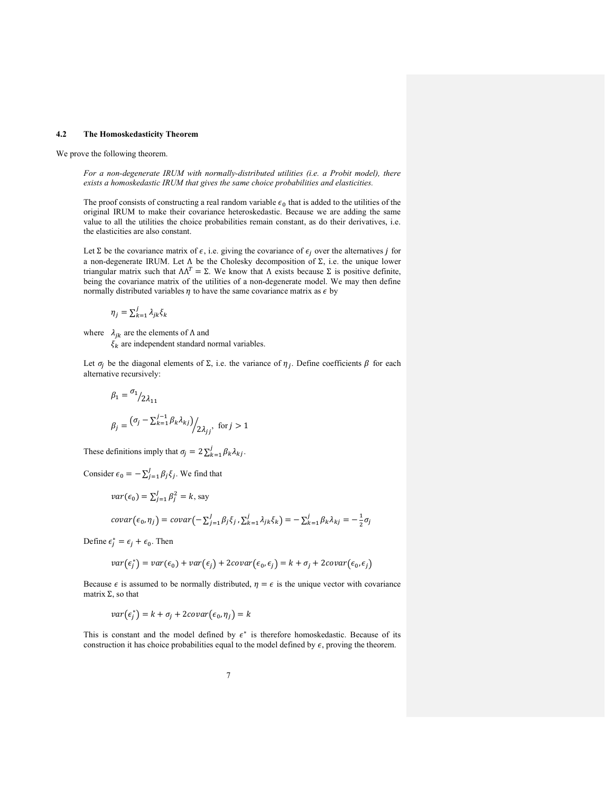#### 4.2 The Homoskedasticity Theorem

We prove the following theorem.

For a non-degenerate IRUM with normally-distributed utilities (i.e. a Probit model), there exists a homoskedastic IRUM that gives the same choice probabilities and elasticities.

The proof consists of constructing a real random variable  $\epsilon_0$  that is added to the utilities of the original IRUM to make their covariance heteroskedastic. Because we are adding the same value to all the utilities the choice probabilities remain constant, as do their derivatives, i.e. the elasticities are also constant.

Let  $\Sigma$  be the covariance matrix of  $\epsilon$ , i.e. giving the covariance of  $\epsilon_j$  over the alternatives j for a non-degenerate IRUM. Let Λ be the Cholesky decomposition of Σ, i.e. the unique lower triangular matrix such that  $ΛΛ<sup>T</sup> = Σ$ . We know that Λ exists because Σ is positive definite, being the covariance matrix of the utilities of a non-degenerate model. We may then define normally distributed variables  $\eta$  to have the same covariance matrix as  $\epsilon$  by

$$
\eta_j = \sum_{k=1}^j \lambda_{jk} \xi_k
$$

where  $\lambda_{jk}$  are the elements of  $\Lambda$  and

 $\xi_k$  are independent standard normal variables.

Let  $\sigma_j$  be the diagonal elements of  $\Sigma$ , i.e. the variance of  $\eta_j$ . Define coefficients  $\beta$  for each alternative recursively:

$$
\beta_1 = \frac{\sigma_1}{2\lambda_{11}}
$$
  

$$
\beta_j = \frac{(\sigma_j - \sum_{k=1}^{j-1} \beta_k \lambda_{kj})}{2\lambda_{jj}}, \text{ for } j > 1
$$

These definitions imply that  $\sigma_j = 2 \sum_{k=1}^j \beta_k \lambda_{kj}$ .

Consider  $\epsilon_0 = -\sum_{j=1}^{J} \beta_j \xi_j$ . We find that

$$
var(\epsilon_0) = \sum_{j=1}^{J} \beta_j^2 = k
$$
, say  

$$
covar(\epsilon_0, \eta_j) = covar(-\sum_{j=1}^{J} \beta_j \xi_j, \sum_{k=1}^{j} \lambda_{jk} \xi_k) = -\sum_{k=1}^{j} \beta_k \lambda_{kj} = -\frac{1}{2}
$$

Define  $\epsilon_j^* = \epsilon_j + \epsilon_0$ . Then

$$
var(\epsilon_j^*) = var(\epsilon_0) + var(\epsilon_j) + 2covar(\epsilon_0, \epsilon_j) = k + \sigma_j + 2covar(\epsilon_0, \epsilon_j)
$$

 $rac{1}{2}$  $\sigma_j$ 

Because  $\epsilon$  is assumed to be normally distributed,  $\eta = \epsilon$  is the unique vector with covariance matrix  $Σ$ , so that

$$
var(\epsilon_j^*) = k + \sigma_j + 2covar(\epsilon_0, \eta_j) = k
$$

This is constant and the model defined by  $\epsilon^*$  is therefore homoskedastic. Because of its construction it has choice probabilities equal to the model defined by  $\epsilon$ , proving the theorem.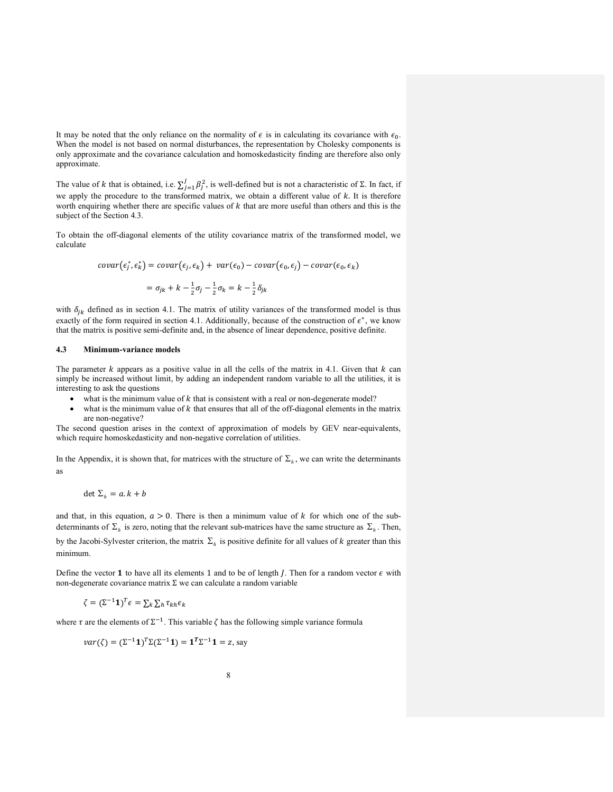It may be noted that the only reliance on the normality of  $\epsilon$  is in calculating its covariance with  $\epsilon_0$ . When the model is not based on normal disturbances, the representation by Cholesky components is only approximate and the covariance calculation and homoskedasticity finding are therefore also only approximate.

The value of k that is obtained, i.e.  $\sum_{j=1}^{J} \beta_j^2$ , is well-defined but is not a characteristic of  $\Sigma$ . In fact, if we apply the procedure to the transformed matrix, we obtain a different value of  $k$ . It is therefore worth enquiring whether there are specific values of  $k$  that are more useful than others and this is the subject of the Section 4.3.

To obtain the off-diagonal elements of the utility covariance matrix of the transformed model, we calculate

$$
covar(\epsilon_j^*, \epsilon_k^*) = covar(\epsilon_j, \epsilon_k) + var(\epsilon_0) - covar(\epsilon_0, \epsilon_j) - covar(\epsilon_0, \epsilon_k)
$$

$$
= \sigma_{jk} + k - \frac{1}{2}\sigma_j - \frac{1}{2}\sigma_k = k - \frac{1}{2}\delta_{jk}
$$

with  $\delta_{jk}$  defined as in section 4.1. The matrix of utility variances of the transformed model is thus exactly of the form required in section 4.1. Additionally, because of the construction of  $\epsilon^*$ , we know that the matrix is positive semi-definite and, in the absence of linear dependence, positive definite.

### 4.3 Minimum-variance models

The parameter  $k$  appears as a positive value in all the cells of the matrix in 4.1. Given that  $k$  can simply be increased without limit, by adding an independent random variable to all the utilities, it is interesting to ask the questions

- what is the minimum value of  $k$  that is consistent with a real or non-degenerate model?
- what is the minimum value of  $k$  that ensures that all of the off-diagonal elements in the matrix are non-negative?

The second question arises in the context of approximation of models by GEV near-equivalents, which require homoskedasticity and non-negative correlation of utilities.

In the Appendix, it is shown that, for matrices with the structure of  $\Sigma_h$ , we can write the determinants as

$$
\det \Sigma_h = a.k + b
$$

and that, in this equation,  $a > 0$ . There is then a minimum value of k for which one of the subdeterminants of  $\Sigma_h$  is zero, noting that the relevant sub-matrices have the same structure as  $\Sigma_h$ . Then, by the Jacobi-Sylvester criterion, the matrix  $\Sigma_h$  is positive definite for all values of k greater than this minimum.

Define the vector 1 to have all its elements 1 and to be of length *J*. Then for a random vector  $\epsilon$  with non-degenerate covariance matrix Σ we can calculate a random variable

$$
\zeta = (\Sigma^{-1} \mathbf{1})^T \epsilon = \sum_k \sum_h \tau_{kh} \epsilon_k
$$

where  $\tau$  are the elements of  $\Sigma^{-1}$ . This variable  $\zeta$  has the following simple variance formula

$$
var(\zeta) = (\Sigma^{-1}1)^T \Sigma (\Sigma^{-1}1) = 1^T \Sigma^{-1}1 = z
$$
, say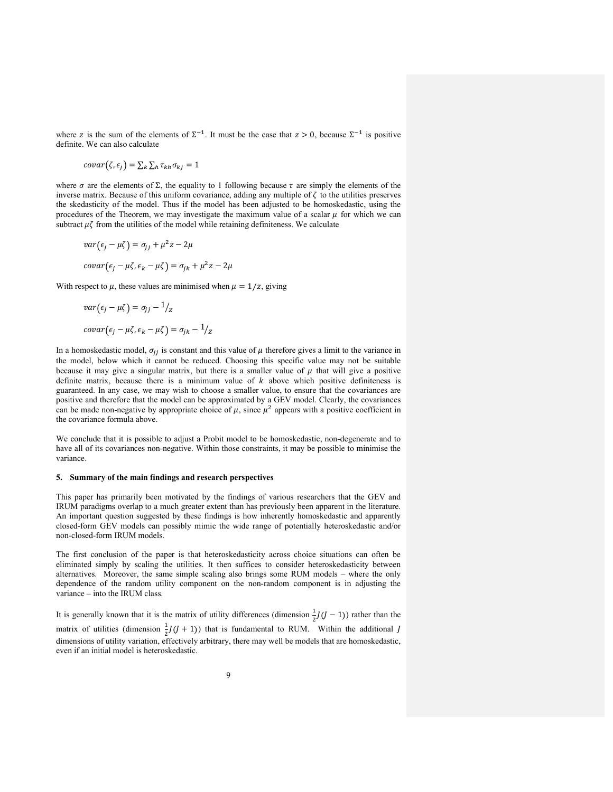where z is the sum of the elements of  $\Sigma^{-1}$ . It must be the case that  $z > 0$ , because  $\Sigma^{-1}$  is positive definite. We can also calculate

$$
covar(\zeta,\epsilon_j)=\sum_k\sum_h\tau_{kh}\sigma_{kj}=1
$$

where  $\sigma$  are the elements of  $\Sigma$ , the equality to 1 following because  $\tau$  are simply the elements of the inverse matrix. Because of this uniform covariance, adding any multiple of  $\zeta$  to the utilities preserves the skedasticity of the model. Thus if the model has been adjusted to be homoskedastic, using the procedures of the Theorem, we may investigate the maximum value of a scalar  $\mu$  for which we can subtract  $\mu\zeta$  from the utilities of the model while retaining definiteness. We calculate

$$
var(\epsilon_j - \mu \zeta) = \sigma_{jj} + \mu^2 z - 2\mu
$$
  
covar $(\epsilon_j - \mu \zeta, \epsilon_k - \mu \zeta) = \sigma_{jk} + \mu^2 z - 2\mu$ 

With respect to  $\mu$ , these values are minimised when  $\mu = 1/z$ , giving

$$
var(\epsilon_j - \mu \zeta) = \sigma_{jj} - 1/z
$$

$$
covar(\epsilon_j - \mu \zeta, \epsilon_k - \mu \zeta) = \sigma_{jk} - 1/z
$$

In a homoskedastic model,  $\sigma_{ij}$  is constant and this value of  $\mu$  therefore gives a limit to the variance in the model, below which it cannot be reduced. Choosing this specific value may not be suitable because it may give a singular matrix, but there is a smaller value of  $\mu$  that will give a positive definite matrix, because there is a minimum value of  $k$  above which positive definiteness is guaranteed. In any case, we may wish to choose a smaller value, to ensure that the covariances are positive and therefore that the model can be approximated by a GEV model. Clearly, the covariances can be made non-negative by appropriate choice of  $\mu$ , since  $\mu^2$  appears with a positive coefficient in the covariance formula above.

We conclude that it is possible to adjust a Probit model to be homoskedastic, non-degenerate and to have all of its covariances non-negative. Within those constraints, it may be possible to minimise the variance.

### 5. Summary of the main findings and research perspectives

This paper has primarily been motivated by the findings of various researchers that the GEV and IRUM paradigms overlap to a much greater extent than has previously been apparent in the literature. An important question suggested by these findings is how inherently homoskedastic and apparently closed-form GEV models can possibly mimic the wide range of potentially heteroskedastic and/or non-closed-form IRUM models.

The first conclusion of the paper is that heteroskedasticity across choice situations can often be eliminated simply by scaling the utilities. It then suffices to consider heteroskedasticity between alternatives. Moreover, the same simple scaling also brings some RUM models – where the only dependence of the random utility component on the non-random component is in adjusting the variance – into the IRUM class.

It is generally known that it is the matrix of utility differences (dimension  $\frac{1}{2}J(J-1)$ ) rather than the matrix of utilities (dimension  $\frac{1}{2}J(J+1)$ ) that is fundamental to RUM. Within the additional J dimensions of utility variation, effectively arbitrary, there may well be models that are homoskedastic, even if an initial model is heteroskedastic.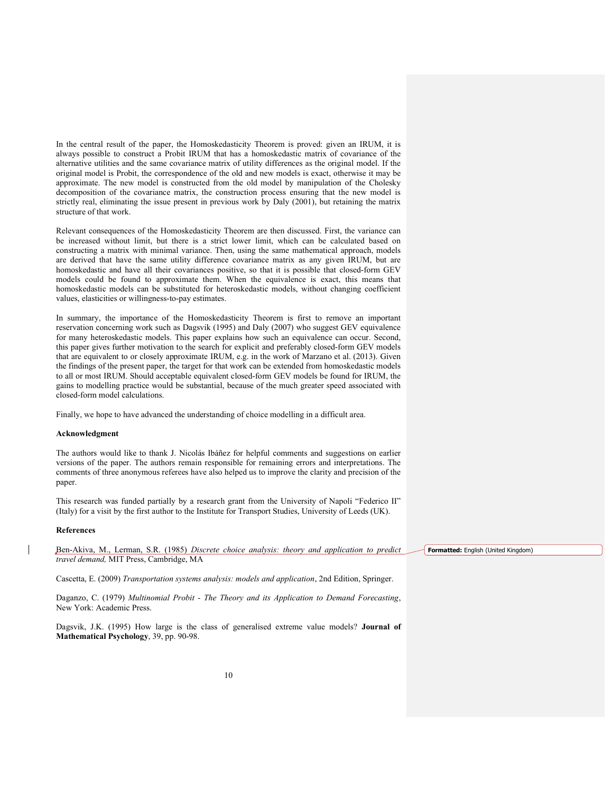In the central result of the paper, the Homoskedasticity Theorem is proved: given an IRUM, it is always possible to construct a Probit IRUM that has a homoskedastic matrix of covariance of the alternative utilities and the same covariance matrix of utility differences as the original model. If the original model is Probit, the correspondence of the old and new models is exact, otherwise it may be approximate. The new model is constructed from the old model by manipulation of the Cholesky decomposition of the covariance matrix, the construction process ensuring that the new model is strictly real, eliminating the issue present in previous work by Daly (2001), but retaining the matrix structure of that work.

Relevant consequences of the Homoskedasticity Theorem are then discussed. First, the variance can be increased without limit, but there is a strict lower limit, which can be calculated based on constructing a matrix with minimal variance. Then, using the same mathematical approach, models are derived that have the same utility difference covariance matrix as any given IRUM, but are homoskedastic and have all their covariances positive, so that it is possible that closed-form GEV models could be found to approximate them. When the equivalence is exact, this means that homoskedastic models can be substituted for heteroskedastic models, without changing coefficient values, elasticities or willingness-to-pay estimates.

In summary, the importance of the Homoskedasticity Theorem is first to remove an important reservation concerning work such as Dagsvik (1995) and Daly (2007) who suggest GEV equivalence for many heteroskedastic models. This paper explains how such an equivalence can occur. Second, this paper gives further motivation to the search for explicit and preferably closed-form GEV models that are equivalent to or closely approximate IRUM, e.g. in the work of Marzano et al. (2013). Given the findings of the present paper, the target for that work can be extended from homoskedastic models to all or most IRUM. Should acceptable equivalent closed-form GEV models be found for IRUM, the gains to modelling practice would be substantial, because of the much greater speed associated with closed-form model calculations.

Finally, we hope to have advanced the understanding of choice modelling in a difficult area.

#### Acknowledgment

The authors would like to thank J. Nicolás Ibáñez for helpful comments and suggestions on earlier versions of the paper. The authors remain responsible for remaining errors and interpretations. The comments of three anonymous referees have also helped us to improve the clarity and precision of the paper.

This research was funded partially by a research grant from the University of Napoli "Federico II" (Italy) for a visit by the first author to the Institute for Transport Studies, University of Leeds (UK).

#### References

Ben-Akiva, M., Lerman, S.R. (1985) Discrete choice analysis: theory and application to predict travel demand, MIT Press, Cambridge, MA

Cascetta, E. (2009) Transportation systems analysis: models and application, 2nd Edition, Springer.

Daganzo, C. (1979) Multinomial Probit - The Theory and its Application to Demand Forecasting, New York: Academic Press.

Dagsvik, J.K. (1995) How large is the class of generalised extreme value models? Journal of Mathematical Psychology, 39, pp. 90-98.

Formatted: English (United Kingdom)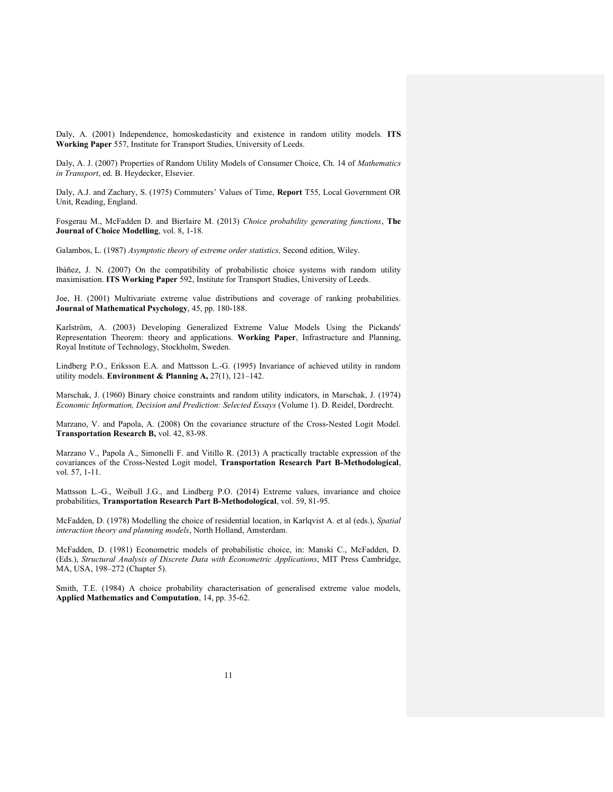Daly, A. (2001) Independence, homoskedasticity and existence in random utility models. ITS Working Paper 557, Institute for Transport Studies, University of Leeds.

Daly, A. J. (2007) Properties of Random Utility Models of Consumer Choice, Ch. 14 of Mathematics in Transport, ed. B. Heydecker, Elsevier.

Daly, A.J. and Zachary, S. (1975) Commuters' Values of Time, Report T55, Local Government OR Unit, Reading, England.

Fosgerau M., McFadden D. and Bierlaire M. (2013) Choice probability generating functions, The Journal of Choice Modelling, vol. 8, 1-18.

Galambos, L. (1987) Asymptotic theory of extreme order statistics, Second edition, Wiley.

Ibáñez, J. N. (2007) On the compatibility of probabilistic choice systems with random utility maximisation. ITS Working Paper 592, Institute for Transport Studies, University of Leeds.

Joe, H. (2001) Multivariate extreme value distributions and coverage of ranking probabilities. Journal of Mathematical Psychology, 45, pp. 180-188.

Karlström, A. (2003) Developing Generalized Extreme Value Models Using the Pickands' Representation Theorem: theory and applications. Working Paper, Infrastructure and Planning, Royal Institute of Technology, Stockholm, Sweden.

Lindberg P.O., Eriksson E.A. and Mattsson L.-G. (1995) Invariance of achieved utility in random utility models. Environment & Planning A,  $27(1)$ ,  $121-142$ .

Marschak, J. (1960) Binary choice constraints and random utility indicators, in Marschak, J. (1974) Economic Information, Decision and Prediction: Selected Essays (Volume 1). D. Reidel, Dordrecht.

Marzano, V. and Papola, A. (2008) On the covariance structure of the Cross-Nested Logit Model. Transportation Research B, vol. 42, 83-98.

Marzano V., Papola A., Simonelli F. and Vitillo R. (2013) A practically tractable expression of the covariances of the Cross-Nested Logit model, Transportation Research Part B-Methodological, vol. 57, 1-11.

Mattsson L.-G., Weibull J.G., and Lindberg P.O. (2014) Extreme values, invariance and choice probabilities, Transportation Research Part B-Methodological, vol. 59, 81-95.

McFadden, D. (1978) Modelling the choice of residential location, in Karlqvist A. et al (eds.), Spatial interaction theory and planning models, North Holland, Amsterdam.

McFadden, D. (1981) Econometric models of probabilistic choice, in: Manski C., McFadden, D. (Eds.), Structural Analysis of Discrete Data with Econometric Applications, MIT Press Cambridge, MA, USA, 198–272 (Chapter 5).

Smith, T.E. (1984) A choice probability characterisation of generalised extreme value models, Applied Mathematics and Computation, 14, pp. 35-62.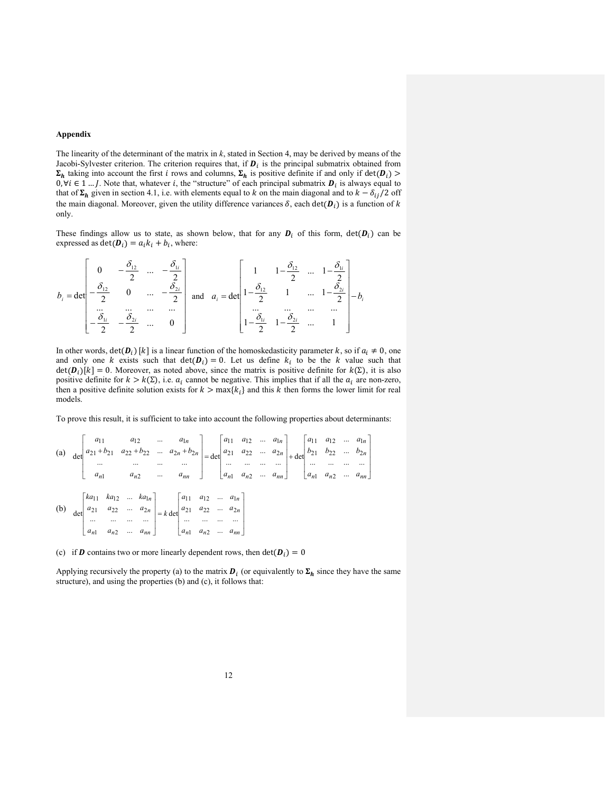### Appendix

The linearity of the determinant of the matrix in  $k$ , stated in Section 4, may be derived by means of the Jacobi-Sylvester criterion. The criterion requires that, if  $D_i$  is the principal submatrix obtained from  $\Sigma_h$  taking into account the first *i* rows and columns,  $\Sigma_h$  is positive definite if and only if det( $D_i$ ) >  $0, \forall i \in \{1, ..., J\}$ . Note that, whatever i, the "structure" of each principal submatrix  $\bm{D}_i$  is always equal to that of  $\Sigma_h$  given in section 4.1, i.e. with elements equal to k on the main diagonal and to  $k - \delta_{ij}/2$  off the main diagonal. Moreover, given the utility difference variances  $\delta$ , each det( $\bm{D}_i$ ) is a function of k only.

These findings allow us to state, as shown below, that for any  $D_i$  of this form,  $det(D_i)$  can be expressed as  $\det(\boldsymbol{D}_i) = a_i k_i + b_i$ , where:

$$
b_{i} = \det \begin{bmatrix} 0 & -\frac{\delta_{12}}{2} & \dots & -\frac{\delta_{1i}}{2} \\ -\frac{\delta_{12}}{2} & 0 & \dots & -\frac{\delta_{2i}}{2} \\ \dots & \dots & \dots & \dots \\ -\frac{\delta_{1i}}{2} & -\frac{\delta_{2i}}{2} & \dots & 0 \end{bmatrix} \text{ and } a_{i} = \det \begin{bmatrix} 1 & 1 - \frac{\delta_{12}}{2} & \dots & 1 - \frac{\delta_{1i}}{2} \\ 1 - \frac{\delta_{12}}{2} & 1 & \dots & 1 - \frac{\delta_{2i}}{2} \\ \dots & \dots & \dots & \dots \\ 1 - \frac{\delta_{1i}}{2} & 1 - \frac{\delta_{2i}}{2} & \dots & 1 \end{bmatrix} - b_{i}
$$

In other words,  $\det(D_i)$  [k] is a linear function of the homoskedasticity parameter k, so if  $a_i \neq 0$ , one and only one k exists such that  $det(D_i) = 0$ . Let us define  $k_i$  to be the k value such that  $\det(\mathbf{D}_i)[k] = 0$ . Moreover, as noted above, since the matrix is positive definite for  $k(\Sigma)$ , it is also positive definite for  $k > k(\Sigma)$ , i.e.  $a_i$  cannot be negative. This implies that if all the  $a_i$  are non-zero, then a positive definite solution exists for  $k > \max\{k_i\}$  and this k then forms the lower limit for real models.

To prove this result, it is sufficient to take into account the following properties about determinants:

(a) 
$$
det\begin{bmatrix} a_{11} & a_{12} & \cdots & a_{1n} \\ a_{21} + b_{21} & a_{22} + b_{22} & \cdots & a_{2n} + b_{2n} \\ \vdots & \vdots & \ddots & \vdots \\ a_{n1} & a_{n2} & \cdots & a_{nn} \end{bmatrix} = det\begin{bmatrix} a_{11} & a_{12} & \cdots & a_{1n} \\ a_{21} & a_{22} & \cdots & a_{2n} \\ \vdots & \vdots & \ddots & \vdots \\ a_{n1} & a_{n2} & \cdots & a_{nn} \end{bmatrix} + det\begin{bmatrix} a_{11} & a_{12} & \cdots & a_{1n} \\ a_{21} & a_{22} & \cdots & a_{2n} \\ \vdots & \vdots & \ddots & \vdots \\ a_{n1} & a_{n2} & \cdots & a_{nn} \end{bmatrix}
$$
  
\n(b)  $det\begin{bmatrix} ka_{11} & ka_{12} & \cdots & ka_{1n} \\ a_{21} & a_{22} & \cdots & a_{2n} \\ \vdots & \vdots & \ddots & \vdots \\ a_{n1} & a_{n2} & \cdots & a_{nn} \end{bmatrix} = k det\begin{bmatrix} a_{11} & a_{12} & \cdots & a_{1n} \\ a_{21} & a_{22} & \cdots & a_{2n} \\ \vdots & \vdots & \ddots & \vdots \\ a_{n1} & a_{n2} & \cdots & a_{nn} \end{bmatrix}$ 

(c) if **D** contains two or more linearly dependent rows, then  $det(D_i) = 0$ 

Applying recursively the property (a) to the matrix  $\bm{D}_i$  (or equivalently to  $\bm{\Sigma}_h$  since they have the same structure), and using the properties (b) and (c), it follows that: